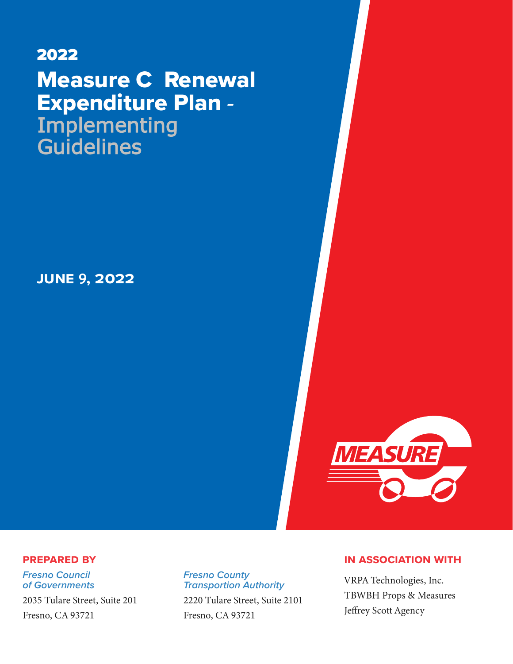# 2022 Measure C Renewal Expenditure Plan **- Implementing Guidelines**

**june** 9**, 2022**



## **Prepared by**

*Fresno Council of Governments*

[2035 Tulare Street, Suite 201](https://www.google.com/maps/place/Fresno+Council+of+Governments/@36.734462,-119.7917984,17z/data=!3m1!4b1!4m5!3m4!1s0x8094609fdb336ca3:0x7e7c819ab2d10d1b!8m2!3d36.7344437!4d-119.7895886)  [Fresno, CA 93721](https://www.google.com/maps/place/Fresno+Council+of+Governments/@36.734462,-119.7917984,17z/data=!3m1!4b1!4m5!3m4!1s0x8094609fdb336ca3:0x7e7c819ab2d10d1b!8m2!3d36.7344437!4d-119.7895886)

## *Fresno County Transportion Authority*

[2220 Tulare Street, Suite 2101](https://www.google.com/maps/place/Fresno+County+Transportation+Authority/@36.7351782,-119.7891388,17z/data=!3m1!4b1!4m5!3m4!1s0x80945e203fb183b1:0x41e19c952e1fb05!8m2!3d36.7351739!4d-119.7869448)  [Fresno, CA 93721](https://www.google.com/maps/place/Fresno+County+Transportation+Authority/@36.7351782,-119.7891388,17z/data=!3m1!4b1!4m5!3m4!1s0x80945e203fb183b1:0x41e19c952e1fb05!8m2!3d36.7351739!4d-119.7869448)

## **in association with**

VRPA Technologies, Inc. TBWBH Props & Measures Jeffrey Scott Agency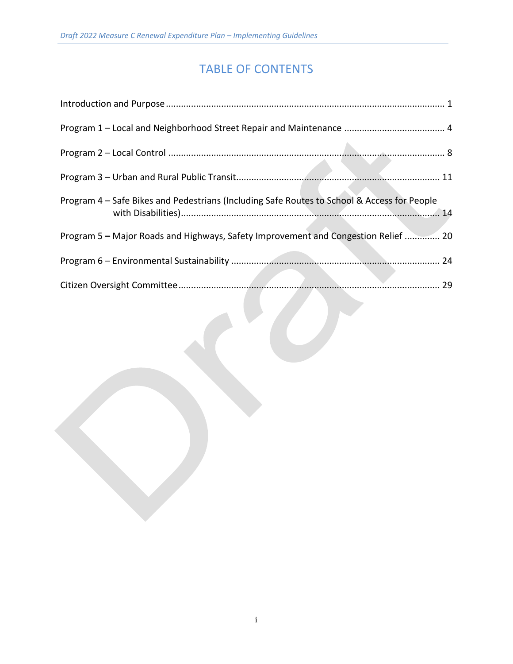## TABLE OF CONTENTS

| Program 4 - Safe Bikes and Pedestrians (Including Safe Routes to School & Access for People |
|---------------------------------------------------------------------------------------------|
| Program 5 - Major Roads and Highways, Safety Improvement and Congestion Relief  20          |
|                                                                                             |
|                                                                                             |
|                                                                                             |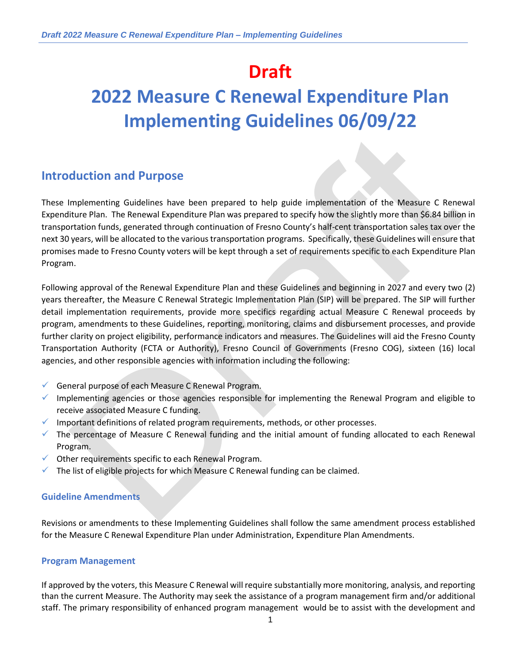## **Draft**

# **2022 Measure C Renewal Expenditure Plan Implementing Guidelines 06/09/22**

## **Introduction and Purpose**

These Implementing Guidelines have been prepared to help guide implementation of the Measure C Renewal Expenditure Plan. The Renewal Expenditure Plan was prepared to specify how the slightly more than \$6.84 billion in transportation funds, generated through continuation of Fresno County's half-cent transportation sales tax over the next 30 years, will be allocated to the various transportation programs. Specifically, these Guidelines will ensure that promises made to Fresno County voters will be kept through a set of requirements specific to each Expenditure Plan Program.

Following approval of the Renewal Expenditure Plan and these Guidelines and beginning in 2027 and every two (2) years thereafter, the Measure C Renewal Strategic Implementation Plan (SIP) will be prepared. The SIP will further detail implementation requirements, provide more specifics regarding actual Measure C Renewal proceeds by program, amendments to these Guidelines, reporting, monitoring, claims and disbursement processes, and provide further clarity on project eligibility, performance indicators and measures. The Guidelines will aid the Fresno County Transportation Authority (FCTA or Authority), Fresno Council of Governments (Fresno COG), sixteen (16) local agencies, and other responsible agencies with information including the following:

- ✓ General purpose of each Measure C Renewal Program.
- $\checkmark$  Implementing agencies or those agencies responsible for implementing the Renewal Program and eligible to receive associated Measure C funding.
- ✓ Important definitions of related program requirements, methods, or other processes.
- $\checkmark$  The percentage of Measure C Renewal funding and the initial amount of funding allocated to each Renewal Program.
- $\checkmark$  Other requirements specific to each Renewal Program.
- $\checkmark$  The list of eligible projects for which Measure C Renewal funding can be claimed.

#### **Guideline Amendments**

Revisions or amendments to these Implementing Guidelines shall follow the same amendment process established for the Measure C Renewal Expenditure Plan under Administration, Expenditure Plan Amendments.

#### **Program Management**

If approved by the voters, this Measure C Renewal will require substantially more monitoring, analysis, and reporting than the current Measure. The Authority may seek the assistance of a program management firm and/or additional staff. The primary responsibility of enhanced program management would be to assist with the development and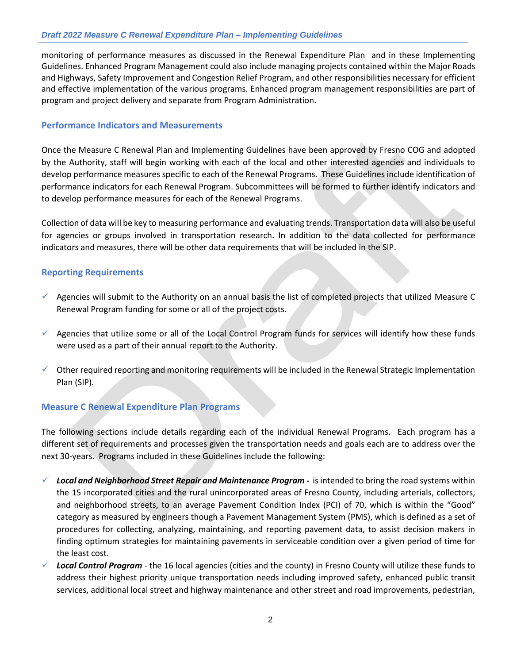monitoring of performance measures as discussed in the Renewal Expenditure Plan and in these Implementing Guidelines. Enhanced Program Management could also include managing projects contained within the Major Roads and Highways, Safety Improvement and Congestion Relief Program, and other responsibilities necessary for efficient and effective implementation of the various programs. Enhanced program management responsibilities are part of program and project delivery and separate from Program Administration.

#### **Performance Indicators and Measurements**

Once the Measure C Renewal Plan and Implementing Guidelines have been approved by Fresno COG and adopted by the Authority, staff will begin working with each of the local and other interested agencies and individuals to develop performance measures specific to each of the Renewal Programs. These Guidelines include identification of performance indicators for each Renewal Program. Subcommittees will be formed to further identify indicators and to develop performance measures for each of the Renewal Programs.

Collection of data will be key to measuring performance and evaluating trends. Transportation data will also be useful for agencies or groups involved in transportation research. In addition to the data collected for performance indicators and measures, there will be other data requirements that will be included in the SIP.

#### **Reporting Requirements**

- ✓ Agencies will submit to the Authority on an annual basis the list of completed projects that utilized Measure C Renewal Program funding for some or all of the project costs.
- $\checkmark$  Agencies that utilize some or all of the Local Control Program funds for services will identify how these funds were used as a part of their annual report to the Authority.
- ✓ Other required reporting and monitoring requirements will be included in the Renewal Strategic Implementation Plan (SIP).

#### **Measure C Renewal Expenditure Plan Programs**

The following sections include details regarding each of the individual Renewal Programs. Each program has a different set of requirements and processes given the transportation needs and goals each are to address over the next 30-years. Programs included in these Guidelines include the following:

- ✓ *Local and Neighborhood Street Repair and Maintenance Program -* is intended to bring the road systems within the 15 incorporated cities and the rural unincorporated areas of Fresno County, including arterials, collectors, and neighborhood streets, to an average Pavement Condition Index (PCI) of 70, which is within the "Good" category as measured by engineers though a Pavement Management System (PMS), which is defined as a set of procedures for collecting, analyzing, maintaining, and reporting pavement data, to assist decision makers in finding optimum strategies for maintaining pavements in serviceable condition over a given period of time for the least cost.
- ✓ *Local Control Program* the 16 local agencies (cities and the county) in Fresno County will utilize these funds to address their highest priority unique transportation needs including improved safety, enhanced public transit services, additional local street and highway maintenance and other street and road improvements, pedestrian,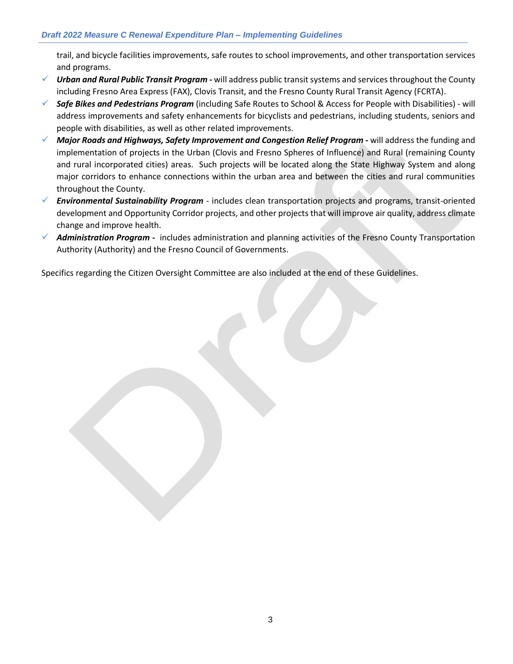trail, and bicycle facilities improvements, safe routes to school improvements, and other transportation services and programs.

- ✓ *Urban and Rural Public Transit Program -* will address public transit systems and services throughout the County including Fresno Area Express (FAX), Clovis Transit, and the Fresno County Rural Transit Agency (FCRTA).
- ✓ *Safe Bikes and Pedestrians Program* (including Safe Routes to School & Access for People with Disabilities) will address improvements and safety enhancements for bicyclists and pedestrians, including students, seniors and people with disabilities, as well as other related improvements.
- ✓ *Major Roads and Highways, Safety Improvement and Congestion Relief Program -* will address the funding and implementation of projects in the Urban (Clovis and Fresno Spheres of Influence) and Rural (remaining County and rural incorporated cities) areas. Such projects will be located along the State Highway System and along major corridors to enhance connections within the urban area and between the cities and rural communities throughout the County.
- ✓ *Environmental Sustainability Program* includes clean transportation projects and programs, transit-oriented development and Opportunity Corridor projects, and other projects that will improve air quality, address climate change and improve health.
- ✓ *Administration Program -* includes administration and planning activities of the Fresno County Transportation Authority (Authority) and the Fresno Council of Governments.

Specifics regarding the Citizen Oversight Committee are also included at the end of these Guidelines.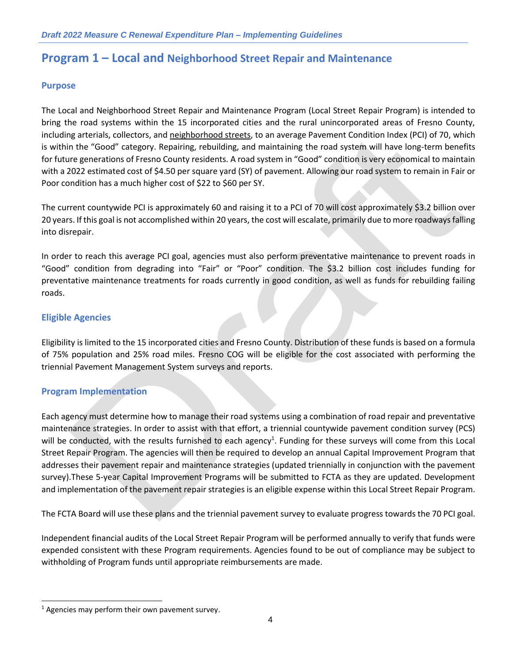## **Program 1 – Local and Neighborhood Street Repair and Maintenance**

#### **Purpose**

The Local and Neighborhood Street Repair and Maintenance Program (Local Street Repair Program) is intended to bring the road systems within the 15 incorporated cities and the rural unincorporated areas of Fresno County, including arterials, collectors, and neighborhood streets, to an average Pavement Condition Index (PCI) of 70, which is within the "Good" category. Repairing, rebuilding, and maintaining the road system will have long-term benefits for future generations of Fresno County residents. A road system in "Good" condition is very economical to maintain with a 2022 estimated cost of \$4.50 per square yard (SY) of pavement. Allowing our road system to remain in Fair or Poor condition has a much higher cost of \$22 to \$60 per SY.

The current countywide PCI is approximately 60 and raising it to a PCI of 70 will cost approximately \$3.2 billion over 20 years. If this goal is not accomplished within 20 years, the cost will escalate, primarily due to more roadways falling into disrepair.

In order to reach this average PCI goal, agencies must also perform preventative maintenance to prevent roads in "Good" condition from degrading into "Fair" or "Poor" condition. The \$3.2 billion cost includes funding for preventative maintenance treatments for roads currently in good condition, as well as funds for rebuilding failing roads.

#### **Eligible Agencies**

Eligibility is limited to the 15 incorporated cities and Fresno County. Distribution of these funds is based on a formula of 75% population and 25% road miles. Fresno COG will be eligible for the cost associated with performing the triennial Pavement Management System surveys and reports.

#### **Program Implementation**

Each agency must determine how to manage their road systems using a combination of road repair and preventative maintenance strategies. In order to assist with that effort, a triennial countywide pavement condition survey (PCS) will be conducted, with the results furnished to each agency<sup>1</sup>. Funding for these surveys will come from this Local Street Repair Program. The agencies will then be required to develop an annual Capital Improvement Program that addresses their pavement repair and maintenance strategies (updated triennially in conjunction with the pavement survey).These 5-year Capital Improvement Programs will be submitted to FCTA as they are updated. Development and implementation of the pavement repair strategies is an eligible expense within this Local Street Repair Program.

The FCTA Board will use these plans and the triennial pavement survey to evaluate progress towards the 70 PCI goal.

Independent financial audits of the Local Street Repair Program will be performed annually to verify that funds were expended consistent with these Program requirements. Agencies found to be out of compliance may be subject to withholding of Program funds until appropriate reimbursements are made.

 $1$  Agencies may perform their own pavement survey.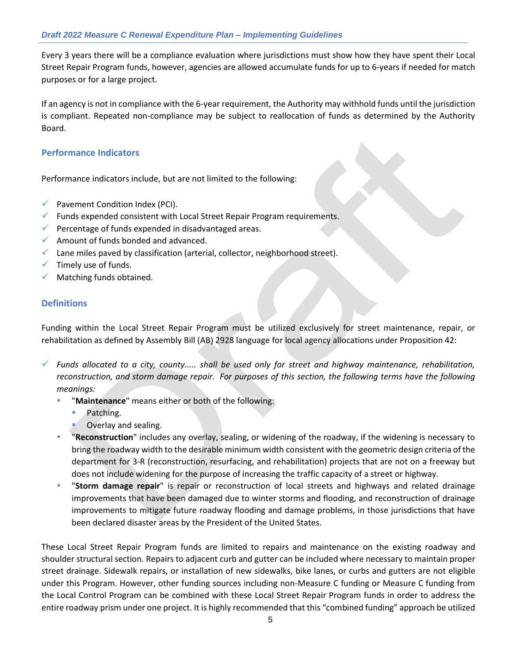Every 3 years there will be a compliance evaluation where jurisdictions must show how they have spent their Local Street Repair Program funds, however, agencies are allowed accumulate funds for up to 6-years if needed for match purposes or for a large project.

If an agency is not in compliance with the 6-year requirement, the Authority may withhold funds until the jurisdiction is compliant. Repeated non-compliance may be subject to reallocation of funds as determined by the Authority Board.

#### **Performance Indicators**

Performance indicators include, but are not limited to the following:

- $\checkmark$  Pavement Condition Index (PCI).
- $\checkmark$  Funds expended consistent with Local Street Repair Program requirements.
- $\checkmark$  Percentage of funds expended in disadvantaged areas.
- $\checkmark$  Amount of funds bonded and advanced.
- $\checkmark$  Lane miles paved by classification (arterial, collector, neighborhood street).
- $\checkmark$  Timely use of funds.
- $\checkmark$  Matching funds obtained.

#### **Definitions**

Funding within the Local Street Repair Program must be utilized exclusively for street maintenance, repair, or rehabilitation as defined by Assembly Bill (AB) 2928 language for local agency allocations under Proposition 42:

✓ *Funds allocated to a city, county..... shall be used only for street and highway maintenance, rehabilitation,*  reconstruction, and storm damage repair. For purposes of this section, the following terms have the following *meanings:*

- "**Maintenance**" means either or both of the following:
	- Patching.
	- Overlay and sealing.
- "**Reconstruction**" includes any overlay, sealing, or widening of the roadway, if the widening is necessary to bring the roadway width to the desirable minimum width consistent with the geometric design criteria of the department for 3-R (reconstruction, resurfacing, and rehabilitation) projects that are not on a freeway but does not include widening for the purpose of increasing the traffic capacity of a street or highway.
- "**Storm damage repair**" is repair or reconstruction of local streets and highways and related drainage improvements that have been damaged due to winter storms and flooding, and reconstruction of drainage improvements to mitigate future roadway flooding and damage problems, in those jurisdictions that have been declared disaster areas by the President of the United States.

These Local Street Repair Program funds are limited to repairs and maintenance on the existing roadway and shoulder structural section. Repairs to adjacent curb and gutter can be included where necessary to maintain proper street drainage. Sidewalk repairs, or installation of new sidewalks, bike lanes, or curbs and gutters are not eligible under this Program. However, other funding sources including non-Measure C funding or Measure C funding from the Local Control Program can be combined with these Local Street Repair Program funds in order to address the entire roadway prism under one project. It is highly recommended that this "combined funding" approach be utilized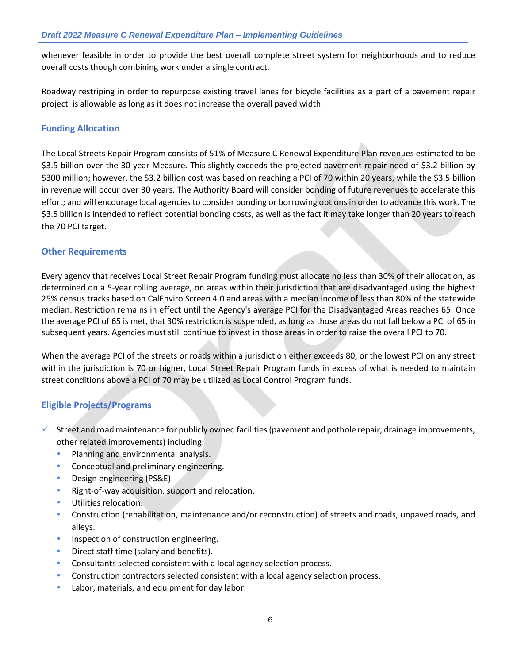whenever feasible in order to provide the best overall complete street system for neighborhoods and to reduce overall costs though combining work under a single contract.

Roadway restriping in order to repurpose existing travel lanes for bicycle facilities as a part of a pavement repair project is allowable as long as it does not increase the overall paved width.

#### **Funding Allocation**

The Local Streets Repair Program consists of 51% of Measure C Renewal Expenditure Plan revenues estimated to be \$3.5 billion over the 30-year Measure. This slightly exceeds the projected pavement repair need of \$3.2 billion by \$300 million; however, the \$3.2 billion cost was based on reaching a PCI of 70 within 20 years, while the \$3.5 billion in revenue will occur over 30 years. The Authority Board will consider bonding of future revenues to accelerate this effort; and will encourage local agencies to consider bonding or borrowing options in order to advance this work. The \$3.5 billion is intended to reflect potential bonding costs, as well as the fact it may take longer than 20 years to reach the 70 PCI target.

#### **Other Requirements**

Every agency that receives Local Street Repair Program funding must allocate no less than 30% of their allocation, as determined on a 5-year rolling average, on areas within their jurisdiction that are disadvantaged using the highest 25% census tracks based on CalEnviro Screen 4.0 and areas with a median income of less than 80% of the statewide median. Restriction remains in effect until the Agency's average PCI for the Disadvantaged Areas reaches 65. Once the average PCI of 65 is met, that 30% restriction is suspended, as long as those areas do not fall below a PCI of 65 in subsequent years. Agencies must still continue to invest in those areas in order to raise the overall PCI to 70.

When the average PCI of the streets or roads within a jurisdiction either exceeds 80, or the lowest PCI on any street within the jurisdiction is 70 or higher, Local Street Repair Program funds in excess of what is needed to maintain street conditions above a PCI of 70 may be utilized as Local Control Program funds.

#### **Eligible Projects/Programs**

- $\checkmark$  Street and road maintenance for publicly owned facilities (pavement and pothole repair, drainage improvements, other related improvements) including:
	- Planning and environmental analysis.
	- Conceptual and preliminary engineering.
	- Design engineering (PS&E).
	- Right-of-way acquisition, support and relocation.
	- Utilities relocation.
	- Construction (rehabilitation, maintenance and/or reconstruction) of streets and roads, unpaved roads, and alleys.
	- Inspection of construction engineering.
	- Direct staff time (salary and benefits).
	- Consultants selected consistent with a local agency selection process.
	- Construction contractors selected consistent with a local agency selection process.
	- Labor, materials, and equipment for day labor.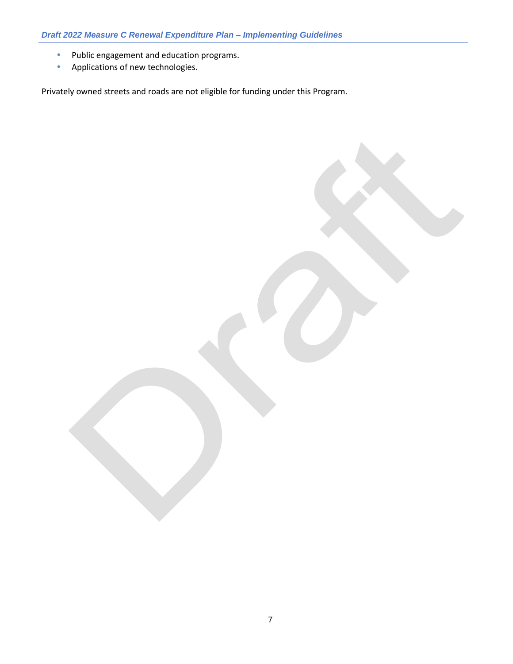- Public engagement and education programs.
- Applications of new technologies.

Privately owned streets and roads are not eligible for funding under this Program.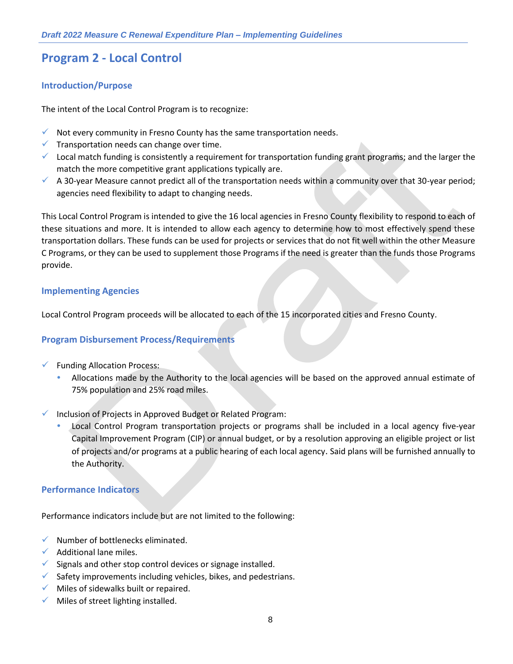## **Program 2 - Local Control**

#### **Introduction/Purpose**

The intent of the Local Control Program is to recognize:

- $\checkmark$  Not every community in Fresno County has the same transportation needs.
- $\checkmark$  Transportation needs can change over time.
- $\checkmark$  Local match funding is consistently a requirement for transportation funding grant programs; and the larger the match the more competitive grant applications typically are.
- $\checkmark$  A 30-year Measure cannot predict all of the transportation needs within a community over that 30-year period; agencies need flexibility to adapt to changing needs.

This Local Control Program is intended to give the 16 local agencies in Fresno County flexibility to respond to each of these situations and more. It is intended to allow each agency to determine how to most effectively spend these transportation dollars. These funds can be used for projects or services that do not fit well within the other Measure C Programs, or they can be used to supplement those Programs if the need is greater than the funds those Programs provide.

#### **Implementing Agencies**

Local Control Program proceeds will be allocated to each of the 15 incorporated cities and Fresno County.

#### **Program Disbursement Process/Requirements**

- ✓ Funding Allocation Process:
	- Allocations made by the Authority to the local agencies will be based on the approved annual estimate of 75% population and 25% road miles.

Inclusion of Projects in Approved Budget or Related Program:

 Local Control Program transportation projects or programs shall be included in a local agency five-year Capital Improvement Program (CIP) or annual budget, or by a resolution approving an eligible project or list of projects and/or programs at a public hearing of each local agency. Said plans will be furnished annually to the Authority.

#### **Performance Indicators**

Performance indicators include but are not limited to the following:

- $\checkmark$  Number of bottlenecks eliminated.
- $\checkmark$  Additional lane miles.
- $\checkmark$  Signals and other stop control devices or signage installed.
- $\checkmark$  Safety improvements including vehicles, bikes, and pedestrians.
- $\checkmark$  Miles of sidewalks built or repaired.
- $\checkmark$  Miles of street lighting installed.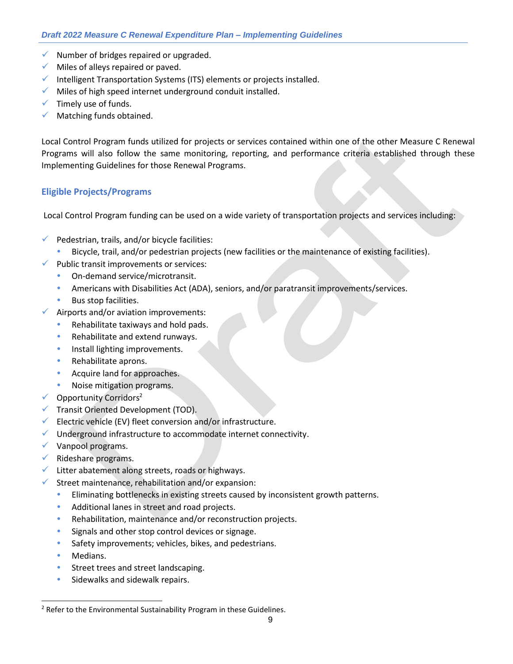- ✓ Number of bridges repaired or upgraded.
- $\checkmark$  Miles of alleys repaired or paved.
- $\checkmark$  Intelligent Transportation Systems (ITS) elements or projects installed.
- ✓ Miles of high speed internet underground conduit installed.
- $\checkmark$  Timely use of funds.
- $\checkmark$  Matching funds obtained.

Local Control Program funds utilized for projects or services contained within one of the other Measure C Renewal Programs will also follow the same monitoring, reporting, and performance criteria established through these Implementing Guidelines for those Renewal Programs.

#### **Eligible Projects/Programs**

Local Control Program funding can be used on a wide variety of transportation projects and services including:

- $\checkmark$  Pedestrian, trails, and/or bicycle facilities:
	- Bicycle, trail, and/or pedestrian projects (new facilities or the maintenance of existing facilities).
- $\checkmark$  Public transit improvements or services:
	- On-demand service/microtransit.
	- Americans with Disabilities Act (ADA), seniors, and/or paratransit improvements/services.
	- **Bus stop facilities.**
- $\checkmark$  Airports and/or aviation improvements:
	- Rehabilitate taxiways and hold pads.
	- Rehabilitate and extend runways.
	- Install lighting improvements.
	- Rehabilitate aprons.
	- Acquire land for approaches.
	- Noise mitigation programs.
- $\checkmark$  Opportunity Corridors<sup>2</sup>
- ✓ Transit Oriented Development (TOD).
- $\checkmark$  Electric vehicle (EV) fleet conversion and/or infrastructure.
- $\checkmark$  Underground infrastructure to accommodate internet connectivity.
- $\checkmark$  Vanpool programs.
- $\checkmark$  Rideshare programs.
- ✓ Litter abatement along streets, roads or highways.
- $\checkmark$  Street maintenance, rehabilitation and/or expansion:
	- Eliminating bottlenecks in existing streets caused by inconsistent growth patterns.
	- Additional lanes in street and road projects.
	- Rehabilitation, maintenance and/or reconstruction projects.
	- Signals and other stop control devices or signage.
	- Safety improvements; vehicles, bikes, and pedestrians.
	- Medians.
	- Street trees and street landscaping.
	- Sidewalks and sidewalk repairs.

 $2$  Refer to the Environmental Sustainability Program in these Guidelines.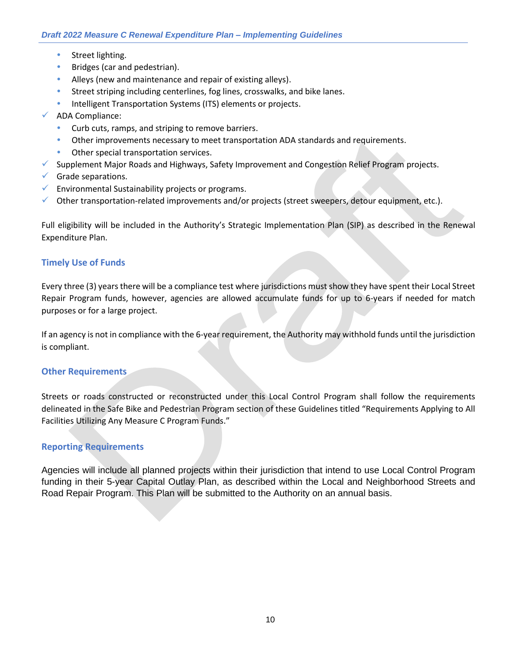- Street lighting.
- **Bridges (car and pedestrian).**
- Alleys (new and maintenance and repair of existing alleys).
- Street striping including centerlines, fog lines, crosswalks, and bike lanes.
- Intelligent Transportation Systems (ITS) elements or projects.
- ✓ ADA Compliance:
	- Curb cuts, ramps, and striping to remove barriers.
	- Other improvements necessary to meet transportation ADA standards and requirements.
	- **•** Other special transportation services.
- $\checkmark$  Supplement Major Roads and Highways, Safety Improvement and Congestion Relief Program projects.
- $\checkmark$  Grade separations.
- $\checkmark$  Environmental Sustainability projects or programs.
- $\checkmark$  Other transportation-related improvements and/or projects (street sweepers, detour equipment, etc.).

Full eligibility will be included in the Authority's Strategic Implementation Plan (SIP) as described in the Renewal Expenditure Plan.

#### **Timely Use of Funds**

Every three (3) years there will be a compliance test where jurisdictions must show they have spent their Local Street Repair Program funds, however, agencies are allowed accumulate funds for up to 6-years if needed for match purposes or for a large project.

If an agency is not in compliance with the 6-year requirement, the Authority may withhold funds until the jurisdiction is compliant.

#### **Other Requirements**

Streets or roads constructed or reconstructed under this Local Control Program shall follow the requirements delineated in the Safe Bike and Pedestrian Program section of these Guidelines titled "Requirements Applying to All Facilities Utilizing Any Measure C Program Funds."

#### **Reporting Requirements**

Agencies will include all planned projects within their jurisdiction that intend to use Local Control Program funding in their 5-year Capital Outlay Plan, as described within the Local and Neighborhood Streets and Road Repair Program. This Plan will be submitted to the Authority on an annual basis.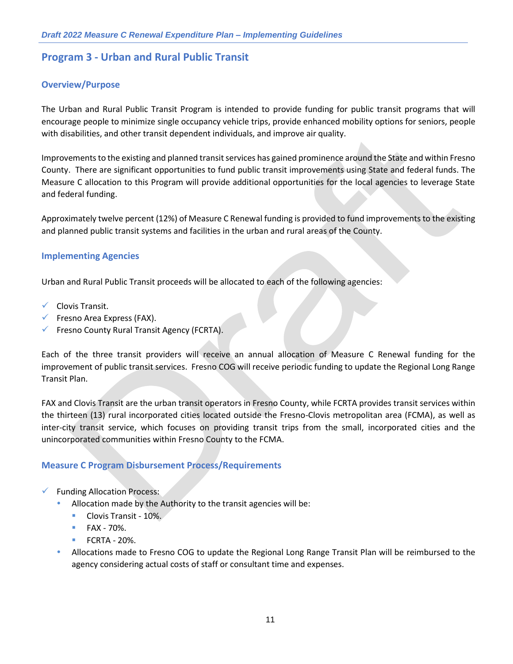## **Program 3 - Urban and Rural Public Transit**

#### **Overview/Purpose**

The Urban and Rural Public Transit Program is intended to provide funding for public transit programs that will encourage people to minimize single occupancy vehicle trips, provide enhanced mobility options for seniors, people with disabilities, and other transit dependent individuals, and improve air quality.

Improvements to the existing and planned transit services has gained prominence around the State and within Fresno County. There are significant opportunities to fund public transit improvements using State and federal funds. The Measure C allocation to this Program will provide additional opportunities for the local agencies to leverage State and federal funding.

Approximately twelve percent (12%) of Measure C Renewal funding is provided to fund improvements to the existing and planned public transit systems and facilities in the urban and rural areas of the County.

#### **Implementing Agencies**

Urban and Rural Public Transit proceeds will be allocated to each of the following agencies:

- ✓ Clovis Transit.
- $\checkmark$  Fresno Area Express (FAX).
- ✓ Fresno County Rural Transit Agency (FCRTA).

Each of the three transit providers will receive an annual allocation of Measure C Renewal funding for the improvement of public transit services. Fresno COG will receive periodic funding to update the Regional Long Range Transit Plan.

FAX and Clovis Transit are the urban transit operators in Fresno County, while FCRTA provides transit services within the thirteen (13) rural incorporated cities located outside the Fresno-Clovis metropolitan area (FCMA), as well as inter-city transit service, which focuses on providing transit trips from the small, incorporated cities and the unincorporated communities within Fresno County to the FCMA.

#### **Measure C Program Disbursement Process/Requirements**

- ✓ Funding Allocation Process:
	- Allocation made by the Authority to the transit agencies will be:
		- Clovis Transit 10%.
		- $\blacksquare$  FAX 70%.
		- **FCRTA 20%.**
	- Allocations made to Fresno COG to update the Regional Long Range Transit Plan will be reimbursed to the agency considering actual costs of staff or consultant time and expenses.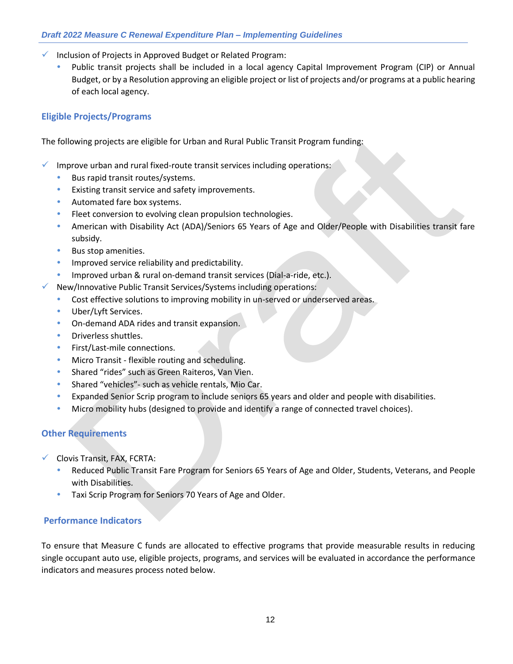- ✓ Inclusion of Projects in Approved Budget or Related Program:
	- Public transit projects shall be included in a local agency Capital Improvement Program (CIP) or Annual Budget, or by a Resolution approving an eligible project or list of projects and/or programs at a public hearing of each local agency.

#### **Eligible Projects/Programs**

The following projects are eligible for Urban and Rural Public Transit Program funding:

- Improve urban and rural fixed-route transit services including operations:
	- Bus rapid transit routes/systems.
	- Existing transit service and safety improvements.
	- Automated fare box systems.
	- Fleet conversion to evolving clean propulsion technologies.
	- American with Disability Act (ADA)/Seniors 65 Years of Age and Older/People with Disabilities transit fare subsidy.
	- Bus stop amenities.
	- **•** Improved service reliability and predictability.
	- Improved urban & rural on-demand transit services (Dial-a-ride, etc.).
	- New/Innovative Public Transit Services/Systems including operations:
	- Cost effective solutions to improving mobility in un-served or underserved areas.
	- Uber/Lyft Services.
	- On-demand ADA rides and transit expansion.
	- Driverless shuttles.
	- First/Last-mile connections.
	- Micro Transit flexible routing and scheduling.
	- Shared "rides" such as Green Raiteros, Van Vien.
	- Shared "vehicles"- such as vehicle rentals, Mio Car.
	- Expanded Senior Scrip program to include seniors 65 years and older and people with disabilities.
	- Micro mobility hubs (designed to provide and identify a range of connected travel choices).

#### **Other Requirements**

- ✓ Clovis Transit, FAX, FCRTA:
	- Reduced Public Transit Fare Program for Seniors 65 Years of Age and Older, Students, Veterans, and People with Disabilities.
	- Taxi Scrip Program for Seniors 70 Years of Age and Older.

#### **Performance Indicators**

To ensure that Measure C funds are allocated to effective programs that provide measurable results in reducing single occupant auto use, eligible projects, programs, and services will be evaluated in accordance the performance indicators and measures process noted below.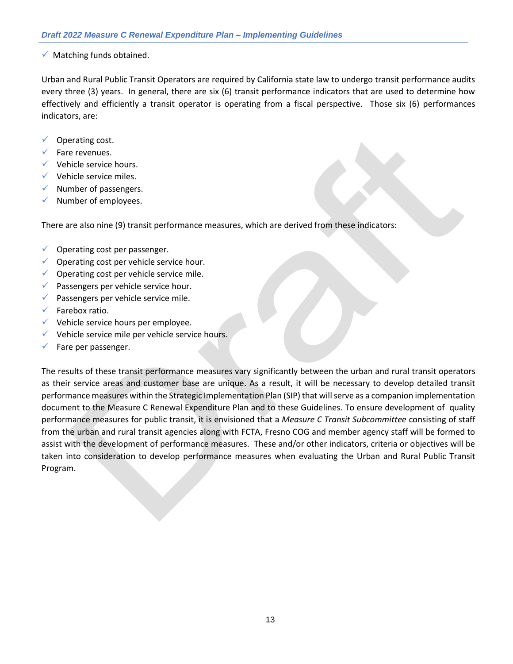#### ✓ Matching funds obtained.

Urban and Rural Public Transit Operators are required by California state law to undergo transit performance audits every three (3) years. In general, there are six (6) transit performance indicators that are used to determine how effectively and efficiently a transit operator is operating from a fiscal perspective. Those six (6) performances indicators, are:

- $\checkmark$  Operating cost.
- Fare revenues.
- $\checkmark$  Vehicle service hours.
- $\checkmark$  Vehicle service miles.
- $\checkmark$  Number of passengers.
- Number of employees.

There are also nine (9) transit performance measures, which are derived from these indicators:

- $\checkmark$  Operating cost per passenger.
- $\checkmark$  Operating cost per vehicle service hour.
- $\checkmark$  Operating cost per vehicle service mile.
- ✓ Passengers per vehicle service hour.
- $\checkmark$  Passengers per vehicle service mile.
- $\checkmark$  Farebox ratio.
- ✓ Vehicle service hours per employee.
- $\checkmark$  Vehicle service mile per vehicle service hours.
- $\checkmark$  Fare per passenger.

The results of these transit performance measures vary significantly between the urban and rural transit operators as their service areas and customer base are unique. As a result, it will be necessary to develop detailed transit performance measures within the Strategic Implementation Plan (SIP) that will serve as a companion implementation document to the Measure C Renewal Expenditure Plan and to these Guidelines. To ensure development of quality performance measures for public transit, it is envisioned that a *Measure C Transit Subcommittee* consisting of staff from the urban and rural transit agencies along with FCTA, Fresno COG and member agency staff will be formed to assist with the development of performance measures. These and/or other indicators, criteria or objectives will be taken into consideration to develop performance measures when evaluating the Urban and Rural Public Transit Program.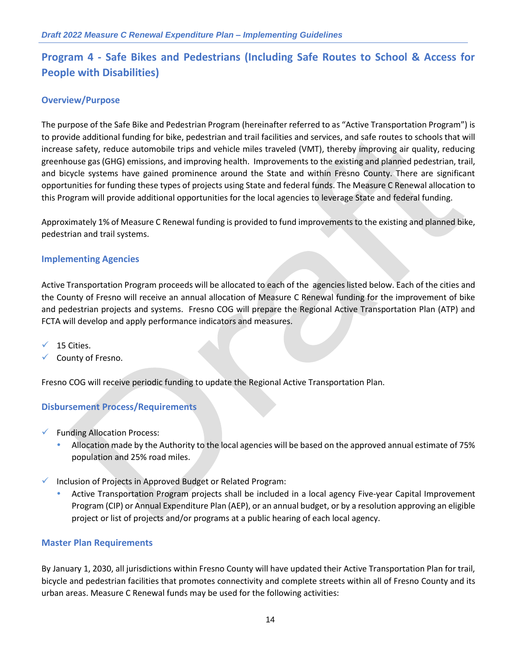## **Program 4 - Safe Bikes and Pedestrians (Including Safe Routes to School & Access for People with Disabilities)**

#### **Overview/Purpose**

The purpose of the Safe Bike and Pedestrian Program (hereinafter referred to as "Active Transportation Program") is to provide additional funding for bike, pedestrian and trail facilities and services, and safe routes to schools that will increase safety, reduce automobile trips and vehicle miles traveled (VMT), thereby improving air quality, reducing greenhouse gas (GHG) emissions, and improving health. Improvements to the existing and planned pedestrian, trail, and bicycle systems have gained prominence around the State and within Fresno County. There are significant opportunities for funding these types of projects using State and federal funds. The Measure C Renewal allocation to this Program will provide additional opportunities for the local agencies to leverage State and federal funding.

Approximately 1% of Measure C Renewal funding is provided to fund improvements to the existing and planned bike, pedestrian and trail systems.

#### **Implementing Agencies**

Active Transportation Program proceeds will be allocated to each of the agencies listed below. Each of the cities and the County of Fresno will receive an annual allocation of Measure C Renewal funding for the improvement of bike and pedestrian projects and systems. Fresno COG will prepare the Regional Active Transportation Plan (ATP) and FCTA will develop and apply performance indicators and measures.

 $\times$  15 Cities.

County of Fresno.

Fresno COG will receive periodic funding to update the Regional Active Transportation Plan.

#### **Disbursement Process/Requirements**

- ✓ Funding Allocation Process:
	- Allocation made by the Authority to the local agencies will be based on the approved annual estimate of 75% population and 25% road miles.
- ✓ Inclusion of Projects in Approved Budget or Related Program:
	- Active Transportation Program projects shall be included in a local agency Five-year Capital Improvement Program (CIP) or Annual Expenditure Plan (AEP), or an annual budget, or by a resolution approving an eligible project or list of projects and/or programs at a public hearing of each local agency.

#### **Master Plan Requirements**

By January 1, 2030, all jurisdictions within Fresno County will have updated their Active Transportation Plan for trail, bicycle and pedestrian facilities that promotes connectivity and complete streets within all of Fresno County and its urban areas. Measure C Renewal funds may be used for the following activities: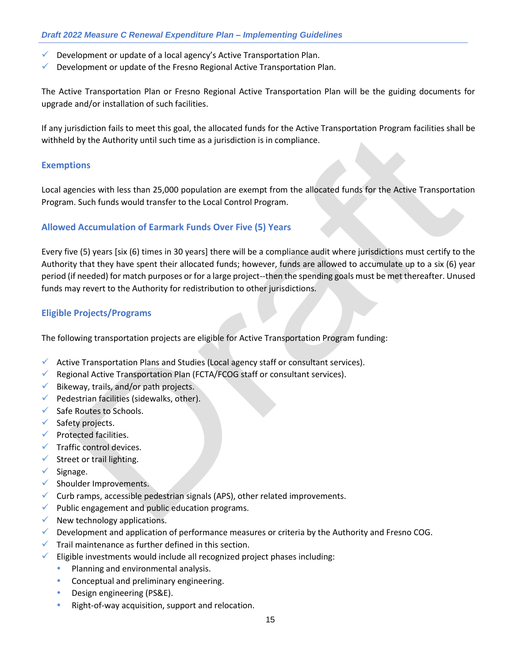- $\checkmark$  Development or update of a local agency's Active Transportation Plan.
- $\checkmark$  Development or update of the Fresno Regional Active Transportation Plan.

The Active Transportation Plan or Fresno Regional Active Transportation Plan will be the guiding documents for upgrade and/or installation of such facilities.

If any jurisdiction fails to meet this goal, the allocated funds for the Active Transportation Program facilities shall be withheld by the Authority until such time as a jurisdiction is in compliance.

#### **Exemptions**

Local agencies with less than 25,000 population are exempt from the allocated funds for the Active Transportation Program. Such funds would transfer to the Local Control Program.

#### **Allowed Accumulation of Earmark Funds Over Five (5) Years**

Every five (5) years [six (6) times in 30 years] there will be a compliance audit where jurisdictions must certify to the Authority that they have spent their allocated funds; however, funds are allowed to accumulate up to a six (6) year period (if needed) for match purposes or for a large project--then the spending goals must be met thereafter. Unused funds may revert to the Authority for redistribution to other jurisdictions.

#### **Eligible Projects/Programs**

The following transportation projects are eligible for Active Transportation Program funding:

- $\checkmark$  Active Transportation Plans and Studies (Local agency staff or consultant services).
- $\checkmark$  Regional Active Transportation Plan (FCTA/FCOG staff or consultant services).
- $\checkmark$  Bikeway, trails, and/or path projects.
- $\checkmark$  Pedestrian facilities (sidewalks, other).
- ✓ Safe Routes to Schools.
- ✓ Safety projects.
- $\checkmark$  Protected facilities.
- $\checkmark$  Traffic control devices.
- $\checkmark$  Street or trail lighting.
- $\checkmark$  Signage.
- ✓ Shoulder Improvements.
- $\checkmark$  Curb ramps, accessible pedestrian signals (APS), other related improvements.
- $\checkmark$  Public engagement and public education programs.
- $\checkmark$  New technology applications.
- $\checkmark$  Development and application of performance measures or criteria by the Authority and Fresno COG.
- $\checkmark$  Trail maintenance as further defined in this section.
- $\checkmark$  Eligible investments would include all recognized project phases including:
	- Planning and environmental analysis.
	- Conceptual and preliminary engineering.
	- Design engineering (PS&E).
	- Right-of-way acquisition, support and relocation.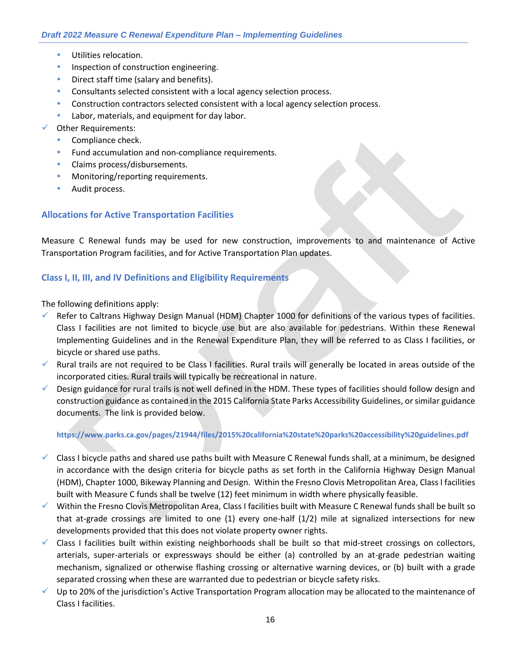- Utilities relocation.
- **Inspection of construction engineering.**
- Direct staff time (salary and benefits).
- Consultants selected consistent with a local agency selection process.
- Construction contractors selected consistent with a local agency selection process.
- Labor, materials, and equipment for day labor.
- ✓ Other Requirements:
	- Compliance check.
	- **•** Fund accumulation and non-compliance requirements.
	- Claims process/disbursements.
	- Monitoring/reporting requirements.
	- Audit process.

#### **Allocations for Active Transportation Facilities**

Measure C Renewal funds may be used for new construction, improvements to and maintenance of Active Transportation Program facilities, and for Active Transportation Plan updates.

#### **Class I, II, III, and IV Definitions and Eligibility Requirements**

The following definitions apply:

- $\checkmark$  Refer to Caltrans Highway Design Manual (HDM) Chapter 1000 for definitions of the various types of facilities. Class I facilities are not limited to bicycle use but are also available for pedestrians. Within these Renewal Implementing Guidelines and in the Renewal Expenditure Plan, they will be referred to as Class I facilities, or bicycle or shared use paths.
- $\checkmark$  Rural trails are not required to be Class I facilities. Rural trails will generally be located in areas outside of the incorporated cities. Rural trails will typically be recreational in nature.
- $\checkmark$  Design guidance for rural trails is not well defined in the HDM. These types of facilities should follow design and construction guidance as contained in the 2015 California State Parks Accessibility Guidelines, or similar guidance documents. The link is provided below.

#### **<https://www.parks.ca.gov/pages/21944/files/2015%20california%20state%20parks%20accessibility%20guidelines.pdf>**

- $\checkmark$  Class I bicycle paths and shared use paths built with Measure C Renewal funds shall, at a minimum, be designed in accordance with the design criteria for bicycle paths as set forth in the California Highway Design Manual (HDM), Chapter 1000, Bikeway Planning and Design. Within the Fresno Clovis Metropolitan Area, Class I facilities built with Measure C funds shall be twelve (12) feet minimum in width where physically feasible.
- ✓ Within the Fresno Clovis Metropolitan Area, Class I facilities built with Measure C Renewal funds shall be built so that at-grade crossings are limited to one (1) every one-half (1/2) mile at signalized intersections for new developments provided that this does not violate property owner rights.
- $\checkmark$  Class I facilities built within existing neighborhoods shall be built so that mid-street crossings on collectors, arterials, super-arterials or expressways should be either (a) controlled by an at-grade pedestrian waiting mechanism, signalized or otherwise flashing crossing or alternative warning devices, or (b) built with a grade separated crossing when these are warranted due to pedestrian or bicycle safety risks.
- $\checkmark$  Up to 20% of the jurisdiction's Active Transportation Program allocation may be allocated to the maintenance of Class I facilities.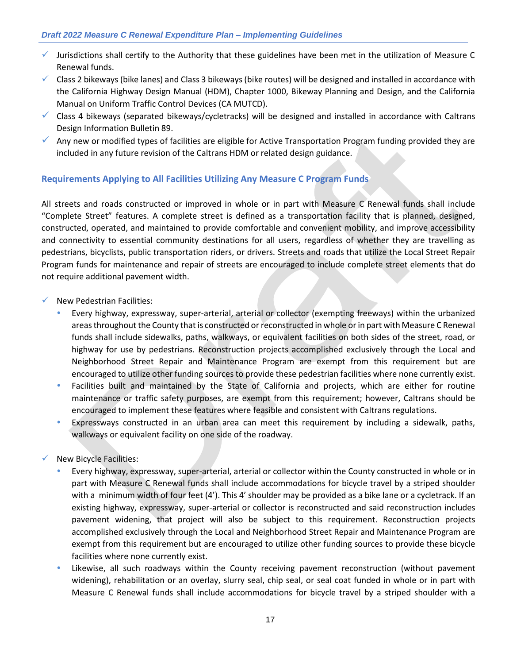- ✓ Jurisdictions shall certify to the Authority that these guidelines have been met in the utilization of Measure C Renewal funds.
- $\checkmark$  Class 2 bikeways (bike lanes) and Class 3 bikeways (bike routes) will be designed and installed in accordance with the California Highway Design Manual (HDM), Chapter 1000, Bikeway Planning and Design, and the California Manual on Uniform Traffic Control Devices (CA MUTCD).
- $\checkmark$  Class 4 bikeways (separated bikeways/cycletracks) will be designed and installed in accordance with Caltrans Design Information Bulletin 89.
- Any new or modified types of facilities are eligible for Active Transportation Program funding provided they are included in any future revision of the Caltrans HDM or related design guidance.

#### **Requirements Applying to All Facilities Utilizing Any Measure C Program Funds**

All streets and roads constructed or improved in whole or in part with Measure C Renewal funds shall include "Complete Street" features. A complete street is defined as a transportation facility that is planned, designed, constructed, operated, and maintained to provide comfortable and convenient mobility, and improve accessibility and connectivity to essential community destinations for all users, regardless of whether they are travelling as pedestrians, bicyclists, public transportation riders, or drivers. Streets and roads that utilize the Local Street Repair Program funds for maintenance and repair of streets are encouraged to include complete street elements that do not require additional pavement width.

- $\checkmark$  New Pedestrian Facilities:
	- Every highway, expressway, super-arterial, arterial or collector (exempting freeways) within the urbanized areas throughout the County that is constructed or reconstructed in whole or in part with Measure C Renewal funds shall include sidewalks, paths, walkways, or equivalent facilities on both sides of the street, road, or highway for use by pedestrians. Reconstruction projects accomplished exclusively through the Local and Neighborhood Street Repair and Maintenance Program are exempt from this requirement but are encouraged to utilize other funding sources to provide these pedestrian facilities where none currently exist.
	- Facilities built and maintained by the State of California and projects, which are either for routine maintenance or traffic safety purposes, are exempt from this requirement; however, Caltrans should be encouraged to implement these features where feasible and consistent with Caltrans regulations.
	- Expressways constructed in an urban area can meet this requirement by including a sidewalk, paths, walkways or equivalent facility on one side of the roadway.

#### $\checkmark$  New Bicycle Facilities:

- Every highway, expressway, super-arterial, arterial or collector within the County constructed in whole or in part with Measure C Renewal funds shall include accommodations for bicycle travel by a striped shoulder with a minimum width of four feet (4'). This 4' shoulder may be provided as a bike lane or a cycletrack. If an existing highway, expressway, super-arterial or collector is reconstructed and said reconstruction includes pavement widening, that project will also be subject to this requirement. Reconstruction projects accomplished exclusively through the Local and Neighborhood Street Repair and Maintenance Program are exempt from this requirement but are encouraged to utilize other funding sources to provide these bicycle facilities where none currently exist.
- Likewise, all such roadways within the County receiving pavement reconstruction (without pavement widening), rehabilitation or an overlay, slurry seal, chip seal, or seal coat funded in whole or in part with Measure C Renewal funds shall include accommodations for bicycle travel by a striped shoulder with a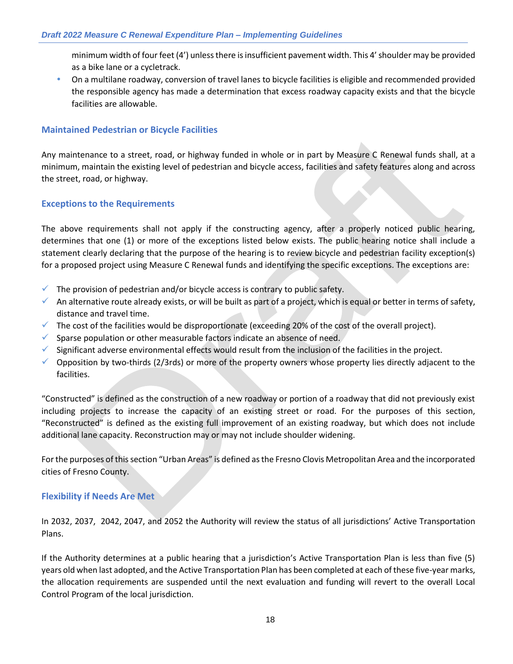minimum width of four feet (4') unless there is insufficient pavement width. This 4' shoulder may be provided as a bike lane or a cycletrack.

 On a multilane roadway, conversion of travel lanes to bicycle facilities is eligible and recommended provided the responsible agency has made a determination that excess roadway capacity exists and that the bicycle facilities are allowable.

#### **Maintained Pedestrian or Bicycle Facilities**

Any maintenance to a street, road, or highway funded in whole or in part by Measure C Renewal funds shall, at a minimum, maintain the existing level of pedestrian and bicycle access, facilities and safety features along and across the street, road, or highway.

#### **Exceptions to the Requirements**

The above requirements shall not apply if the constructing agency, after a properly noticed public hearing, determines that one (1) or more of the exceptions listed below exists. The public hearing notice shall include a statement clearly declaring that the purpose of the hearing is to review bicycle and pedestrian facility exception(s) for a proposed project using Measure C Renewal funds and identifying the specific exceptions. The exceptions are:

- $\checkmark$  The provision of pedestrian and/or bicycle access is contrary to public safety.
- An alternative route already exists, or will be built as part of a project, which is equal or better in terms of safety, distance and travel time.
- $\checkmark$  The cost of the facilities would be disproportionate (exceeding 20% of the cost of the overall project).
- $\checkmark$  Sparse population or other measurable factors indicate an absence of need.
- ✓ Significant adverse environmental effects would result from the inclusion of the facilities in the project.
- $\checkmark$  Opposition by two-thirds (2/3rds) or more of the property owners whose property lies directly adjacent to the facilities.

"Constructed" is defined as the construction of a new roadway or portion of a roadway that did not previously exist including projects to increase the capacity of an existing street or road. For the purposes of this section, "Reconstructed" is defined as the existing full improvement of an existing roadway, but which does not include additional lane capacity. Reconstruction may or may not include shoulder widening.

For the purposes of this section "Urban Areas" is defined as the Fresno Clovis Metropolitan Area and the incorporated cities of Fresno County.

#### **Flexibility if Needs Are Met**

In 2032, 2037, 2042, 2047, and 2052 the Authority will review the status of all jurisdictions' Active Transportation Plans.

If the Authority determines at a public hearing that a jurisdiction's Active Transportation Plan is less than five (5) years old when last adopted, and the Active Transportation Plan has been completed at each of these five-year marks, the allocation requirements are suspended until the next evaluation and funding will revert to the overall Local Control Program of the local jurisdiction.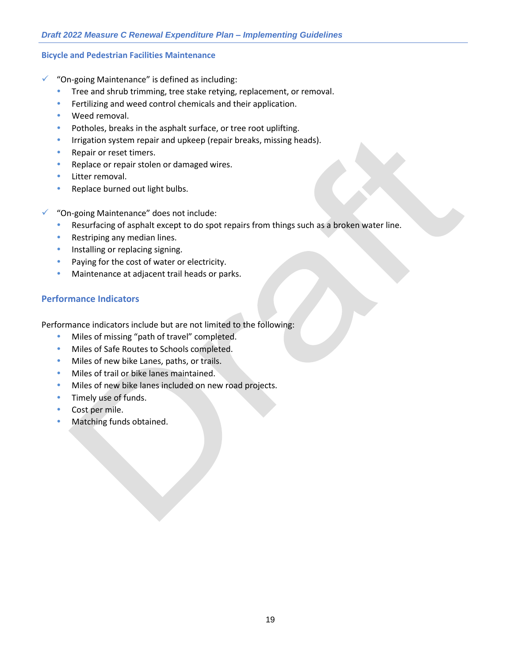#### **Bicycle and Pedestrian Facilities Maintenance**

- "On-going Maintenance" is defined as including:
	- Tree and shrub trimming, tree stake retying, replacement, or removal.
	- Fertilizing and weed control chemicals and their application.
	- Weed removal.
	- Potholes, breaks in the asphalt surface, or tree root uplifting.
	- Irrigation system repair and upkeep (repair breaks, missing heads).
	- Repair or reset timers.
	- Replace or repair stolen or damaged wires.
	- Litter removal.
	- Replace burned out light bulbs.
- ✓ "On-going Maintenance" does not include:
	- Resurfacing of asphalt except to do spot repairs from things such as a broken water line.
	- Restriping any median lines.
	- Installing or replacing signing.
	- Paying for the cost of water or electricity.
	- Maintenance at adjacent trail heads or parks.

#### **Performance Indicators**

Performance indicators include but are not limited to the following:

- **Miles of missing "path of travel" completed.**
- **Miles of Safe Routes to Schools completed.**
- Miles of new bike Lanes, paths, or trails.
- Miles of trail or bike lanes maintained.
- Miles of new bike lanes included on new road projects.
- Timely use of funds.
- Cost per mile.
- Matching funds obtained.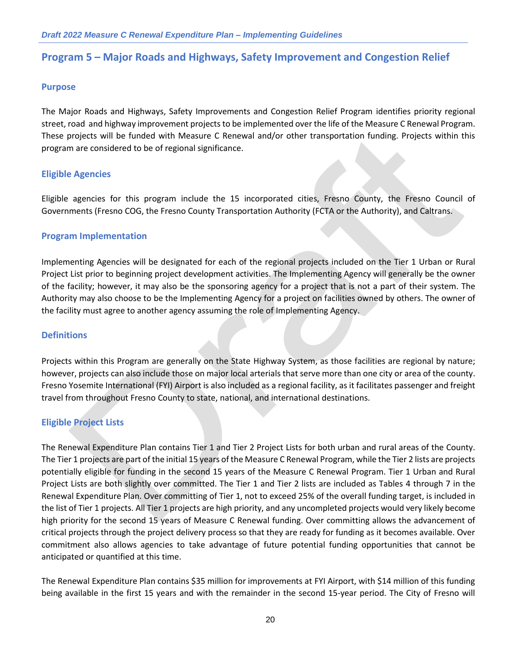## **Program 5 – Major Roads and Highways, Safety Improvement and Congestion Relief**

#### **Purpose**

The Major Roads and Highways, Safety Improvements and Congestion Relief Program identifies priority regional street, road and highway improvement projects to be implemented over the life of the Measure C Renewal Program. These projects will be funded with Measure C Renewal and/or other transportation funding. Projects within this program are considered to be of regional significance.

#### **Eligible Agencies**

Eligible agencies for this program include the 15 incorporated cities, Fresno County, the Fresno Council of Governments (Fresno COG, the Fresno County Transportation Authority (FCTA or the Authority), and Caltrans.

#### **Program Implementation**

Implementing Agencies will be designated for each of the regional projects included on the Tier 1 Urban or Rural Project List prior to beginning project development activities. The Implementing Agency will generally be the owner of the facility; however, it may also be the sponsoring agency for a project that is not a part of their system. The Authority may also choose to be the Implementing Agency for a project on facilities owned by others. The owner of the facility must agree to another agency assuming the role of Implementing Agency.

#### **Definitions**

Projects within this Program are generally on the State Highway System, as those facilities are regional by nature; however, projects can also include those on major local arterials that serve more than one city or area of the county. Fresno Yosemite International (FYI) Airport is also included as a regional facility, as it facilitates passenger and freight travel from throughout Fresno County to state, national, and international destinations.

#### **Eligible Project Lists**

The Renewal Expenditure Plan contains Tier 1 and Tier 2 Project Lists for both urban and rural areas of the County. The Tier 1 projects are part of the initial 15 years of the Measure C Renewal Program, while the Tier 2 lists are projects potentially eligible for funding in the second 15 years of the Measure C Renewal Program. Tier 1 Urban and Rural Project Lists are both slightly over committed. The Tier 1 and Tier 2 lists are included as Tables 4 through 7 in the Renewal Expenditure Plan. Over committing of Tier 1, not to exceed 25% of the overall funding target, is included in the list of Tier 1 projects. All Tier 1 projects are high priority, and any uncompleted projects would very likely become high priority for the second 15 years of Measure C Renewal funding. Over committing allows the advancement of critical projects through the project delivery process so that they are ready for funding as it becomes available. Over commitment also allows agencies to take advantage of future potential funding opportunities that cannot be anticipated or quantified at this time.

The Renewal Expenditure Plan contains \$35 million for improvements at FYI Airport, with \$14 million of this funding being available in the first 15 years and with the remainder in the second 15-year period. The City of Fresno will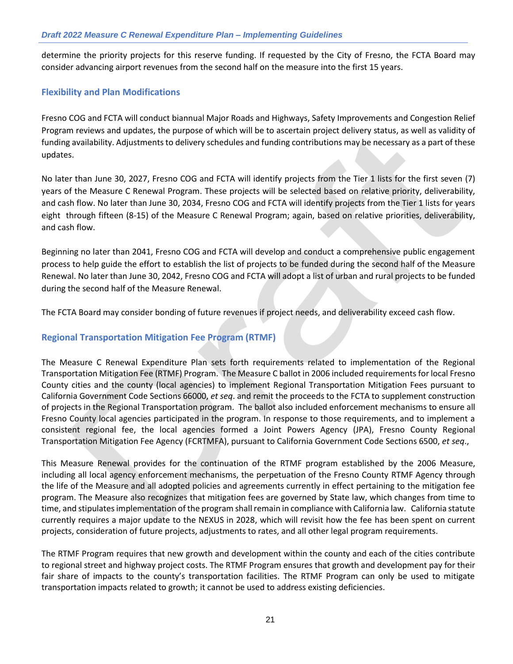determine the priority projects for this reserve funding. If requested by the City of Fresno, the FCTA Board may consider advancing airport revenues from the second half on the measure into the first 15 years.

#### **Flexibility and Plan Modifications**

Fresno COG and FCTA will conduct biannual Major Roads and Highways, Safety Improvements and Congestion Relief Program reviews and updates, the purpose of which will be to ascertain project delivery status, as well as validity of funding availability. Adjustments to delivery schedules and funding contributions may be necessary as a part of these updates.

No later than June 30, 2027, Fresno COG and FCTA will identify projects from the Tier 1 lists for the first seven (7) years of the Measure C Renewal Program. These projects will be selected based on relative priority, deliverability, and cash flow. No later than June 30, 2034, Fresno COG and FCTA will identify projects from the Tier 1 lists for years eight through fifteen (8-15) of the Measure C Renewal Program; again, based on relative priorities, deliverability, and cash flow.

Beginning no later than 2041, Fresno COG and FCTA will develop and conduct a comprehensive public engagement process to help guide the effort to establish the list of projects to be funded during the second half of the Measure Renewal. No later than June 30, 2042, Fresno COG and FCTA will adopt a list of urban and rural projects to be funded during the second half of the Measure Renewal.

The FCTA Board may consider bonding of future revenues if project needs, and deliverability exceed cash flow.

#### **Regional Transportation Mitigation Fee Program (RTMF)**

The Measure C Renewal Expenditure Plan sets forth requirements related to implementation of the Regional Transportation Mitigation Fee (RTMF) Program. The Measure C ballot in 2006 included requirements for local Fresno County cities and the county (local agencies) to implement Regional Transportation Mitigation Fees pursuant to California Government Code Sections 66000, *et seq*. and remit the proceeds to the FCTA to supplement construction of projects in the Regional Transportation program. The ballot also included enforcement mechanisms to ensure all Fresno County local agencies participated in the program. In response to those requirements, and to implement a consistent regional fee, the local agencies formed a Joint Powers Agency (JPA), Fresno County Regional Transportation Mitigation Fee Agency (FCRTMFA), pursuant to California Government Code Sections 6500, *et seq*.,

This Measure Renewal provides for the continuation of the RTMF program established by the 2006 Measure, including all local agency enforcement mechanisms, the perpetuation of the Fresno County RTMF Agency through the life of the Measure and all adopted policies and agreements currently in effect pertaining to the mitigation fee program. The Measure also recognizes that mitigation fees are governed by State law, which changes from time to time, and stipulates implementation of the program shall remain in compliance with California law. California statute currently requires a major update to the NEXUS in 2028, which will revisit how the fee has been spent on current projects, consideration of future projects, adjustments to rates, and all other legal program requirements.

The RTMF Program requires that new growth and development within the county and each of the cities contribute to regional street and highway project costs. The RTMF Program ensures that growth and development pay for their fair share of impacts to the county's transportation facilities. The RTMF Program can only be used to mitigate transportation impacts related to growth; it cannot be used to address existing deficiencies.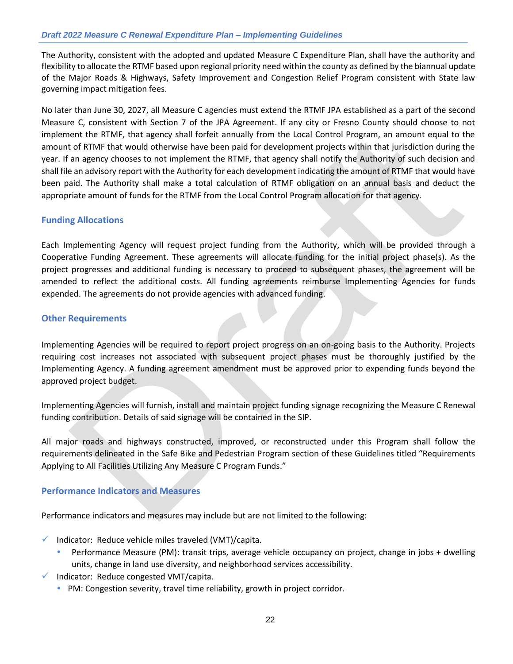The Authority, consistent with the adopted and updated Measure C Expenditure Plan, shall have the authority and flexibility to allocate the RTMF based upon regional priority need within the county as defined by the biannual update of the Major Roads & Highways, Safety Improvement and Congestion Relief Program consistent with State law governing impact mitigation fees.

No later than June 30, 2027, all Measure C agencies must extend the RTMF JPA established as a part of the second Measure C, consistent with Section 7 of the JPA Agreement. If any city or Fresno County should choose to not implement the RTMF, that agency shall forfeit annually from the Local Control Program, an amount equal to the amount of RTMF that would otherwise have been paid for development projects within that jurisdiction during the year. If an agency chooses to not implement the RTMF, that agency shall notify the Authority of such decision and shall file an advisory report with the Authority for each development indicating the amount of RTMF that would have been paid. The Authority shall make a total calculation of RTMF obligation on an annual basis and deduct the appropriate amount of funds for the RTMF from the Local Control Program allocation for that agency.

#### **Funding Allocations**

Each Implementing Agency will request project funding from the Authority, which will be provided through a Cooperative Funding Agreement. These agreements will allocate funding for the initial project phase(s). As the project progresses and additional funding is necessary to proceed to subsequent phases, the agreement will be amended to reflect the additional costs. All funding agreements reimburse Implementing Agencies for funds expended. The agreements do not provide agencies with advanced funding.

#### **Other Requirements**

Implementing Agencies will be required to report project progress on an on-going basis to the Authority. Projects requiring cost increases not associated with subsequent project phases must be thoroughly justified by the Implementing Agency. A funding agreement amendment must be approved prior to expending funds beyond the approved project budget.

Implementing Agencies will furnish, install and maintain project funding signage recognizing the Measure C Renewal funding contribution. Details of said signage will be contained in the SIP.

All major roads and highways constructed, improved, or reconstructed under this Program shall follow the requirements delineated in the Safe Bike and Pedestrian Program section of these Guidelines titled "Requirements Applying to All Facilities Utilizing Any Measure C Program Funds."

#### **Performance Indicators and Measures**

Performance indicators and measures may include but are not limited to the following:

- $\checkmark$  Indicator: Reduce vehicle miles traveled (VMT)/capita.
	- Performance Measure (PM): transit trips, average vehicle occupancy on project, change in jobs + dwelling units, change in land use diversity, and neighborhood services accessibility.
- $\checkmark$  Indicator: Reduce congested VMT/capita.
	- PM: Congestion severity, travel time reliability, growth in project corridor.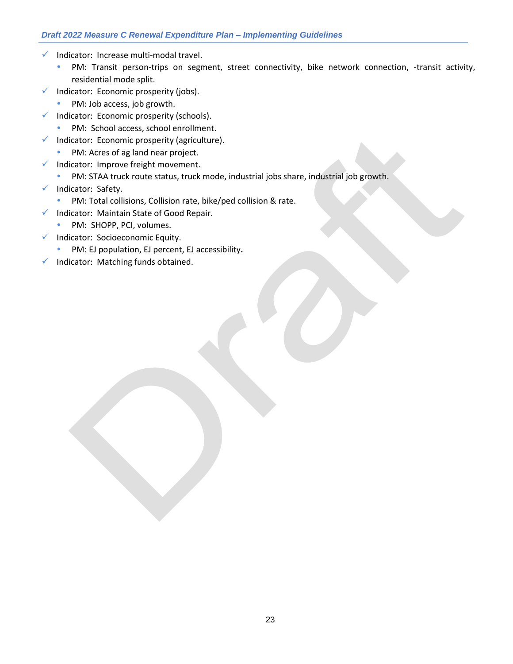- ✓ Indicator: Increase multi-modal travel.
	- PM: Transit person-trips on segment, street connectivity, bike network connection, -transit activity, residential mode split.
- $\checkmark$  Indicator: Economic prosperity (jobs).
	- PM: Job access, job growth.
- ✓ Indicator: Economic prosperity (schools).
	- PM: School access, school enrollment.
- $\checkmark$  Indicator: Economic prosperity (agriculture).
	- PM: Acres of ag land near project.
- ✓ Indicator: Improve freight movement.
- PM: STAA truck route status, truck mode, industrial jobs share, industrial job growth.
- ✓ Indicator: Safety.
	- PM: Total collisions, Collision rate, bike/ped collision & rate.
- ✓ Indicator: Maintain State of Good Repair.
	- PM: SHOPP, PCI, volumes.
- ✓ Indicator: Socioeconomic Equity.
	- PM: EJ population, EJ percent, EJ accessibility**.**
- ✓ Indicator: Matching funds obtained.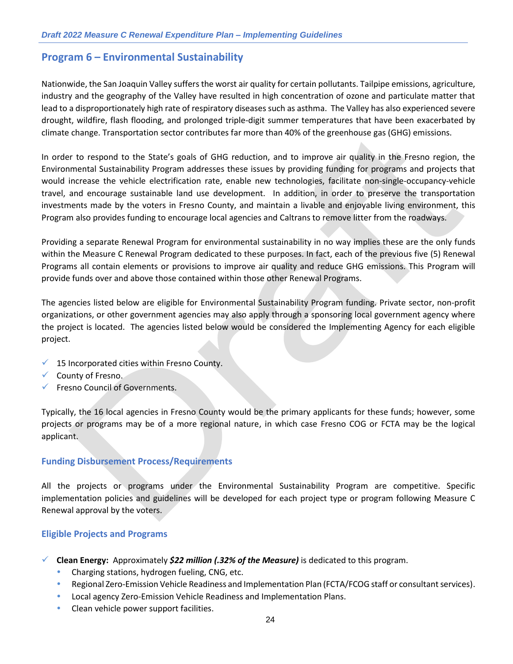## **Program 6 – Environmental Sustainability**

Nationwide, the San Joaquin Valley suffers the worst air quality for certain pollutants. Tailpipe emissions, agriculture, industry and the geography of the Valley have resulted in high concentration of ozone and particulate matter that lead to a disproportionately high rate of respiratory diseases such as asthma. The Valley has also experienced severe drought, wildfire, flash flooding, and prolonged triple-digit summer temperatures that have been exacerbated by climate change. Transportation sector contributes far more than 40% of the greenhouse gas (GHG) emissions.

In order to respond to the State's goals of GHG reduction, and to improve air quality in the Fresno region, the Environmental Sustainability Program addresses these issues by providing funding for programs and projects that would increase the vehicle electrification rate, enable new technologies, facilitate non-single-occupancy-vehicle travel, and encourage sustainable land use development. In addition, in order to preserve the transportation investments made by the voters in Fresno County, and maintain a livable and enjoyable living environment, this Program also provides funding to encourage local agencies and Caltrans to remove litter from the roadways.

Providing a separate Renewal Program for environmental sustainability in no way implies these are the only funds within the Measure C Renewal Program dedicated to these purposes. In fact, each of the previous five (5) Renewal Programs all contain elements or provisions to improve air quality and reduce GHG emissions. This Program will provide funds over and above those contained within those other Renewal Programs.

The agencies listed below are eligible for Environmental Sustainability Program funding. Private sector, non-profit organizations, or other government agencies may also apply through a sponsoring local government agency where the project is located. The agencies listed below would be considered the Implementing Agency for each eligible project.

- $\times$  15 Incorporated cities within Fresno County.
- ✓ County of Fresno.
- ✓ Fresno Council of Governments.

Typically, the 16 local agencies in Fresno County would be the primary applicants for these funds; however, some projects or programs may be of a more regional nature, in which case Fresno COG or FCTA may be the logical applicant.

#### **Funding Disbursement Process/Requirements**

All the projects or programs under the Environmental Sustainability Program are competitive. Specific implementation policies and guidelines will be developed for each project type or program following Measure C Renewal approval by the voters.

#### **Eligible Projects and Programs**

- ✓ **Clean Energy:** Approximately *\$22 million (.32% of the Measure)* is dedicated to this program.
	- Charging stations, hydrogen fueling, CNG, etc.
	- Regional Zero-Emission Vehicle Readiness and Implementation Plan (FCTA/FCOG staff or consultant services).
	- Local agency Zero-Emission Vehicle Readiness and Implementation Plans.
	- Clean vehicle power support facilities.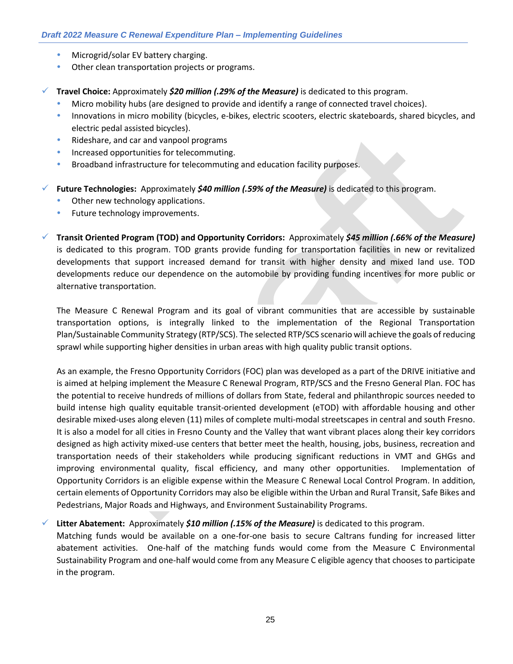- Microgrid/solar EV battery charging.
- Other clean transportation projects or programs.

✓ **Travel Choice:** Approximately *\$20 million (.29% of the Measure)* is dedicated to this program.

- Micro mobility hubs (are designed to provide and identify a range of connected travel choices).
- Innovations in micro mobility (bicycles, e-bikes, electric scooters, electric skateboards, shared bicycles, and electric pedal assisted bicycles).
- Rideshare, and car and vanpool programs
- Increased opportunities for telecommuting.
- Broadband infrastructure for telecommuting and education facility purposes.

✓ **Future Technologies:** Approximately *\$40 million (.59% of the Measure)* is dedicated to this program.

- Other new technology applications.
- Future technology improvements.

✓ **Transit Oriented Program (TOD) and Opportunity Corridors:** Approximately *\$45 million (.66% of the Measure)* is dedicated to this program. TOD grants provide funding for transportation facilities in new or revitalized developments that support increased demand for transit with higher density and mixed land use. TOD developments reduce our dependence on the automobile by providing funding incentives for more public or alternative transportation.

The Measure C Renewal Program and its goal of vibrant communities that are accessible by sustainable transportation options, is integrally linked to the implementation of the Regional Transportation Plan/Sustainable Community Strategy (RTP/SCS). The selected RTP/SCS scenario will achieve the goals of reducing sprawl while supporting higher densities in urban areas with high quality public transit options.

As an example, the Fresno Opportunity Corridors (FOC) plan was developed as a part of the DRIVE initiative and is aimed at helping implement the Measure C Renewal Program, RTP/SCS and the Fresno General Plan. FOC has the potential to receive hundreds of millions of dollars from State, federal and philanthropic sources needed to build intense high quality equitable transit-oriented development (eTOD) with affordable housing and other desirable mixed-uses along eleven (11) miles of complete multi-modal streetscapes in central and south Fresno. It is also a model for all cities in Fresno County and the Valley that want vibrant places along their key corridors designed as high activity mixed-use centers that better meet the health, housing, jobs, business, recreation and transportation needs of their stakeholders while producing significant reductions in VMT and GHGs and improving environmental quality, fiscal efficiency, and many other opportunities. Implementation of Opportunity Corridors is an eligible expense within the Measure C Renewal Local Control Program. In addition, certain elements of Opportunity Corridors may also be eligible within the Urban and Rural Transit, Safe Bikes and Pedestrians, Major Roads and Highways, and Environment Sustainability Programs.

#### ✓ **Litter Abatement:** Approximately *\$10 million (.15% of the Measure)* is dedicated to this program.

Matching funds would be available on a one-for-one basis to secure Caltrans funding for increased litter abatement activities. One-half of the matching funds would come from the Measure C Environmental Sustainability Program and one-half would come from any Measure C eligible agency that chooses to participate in the program.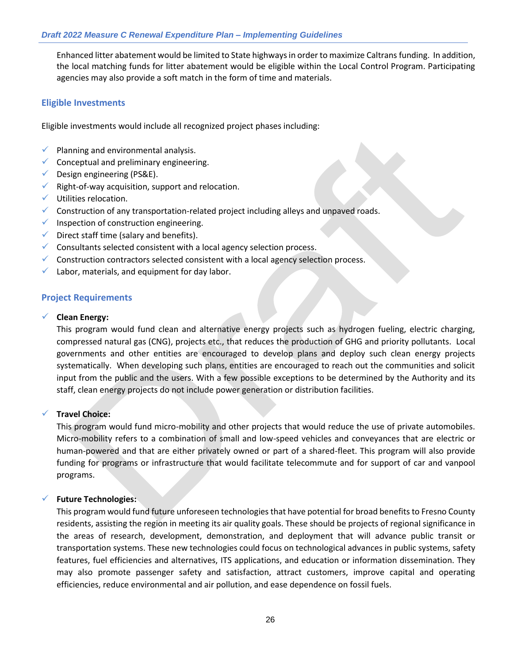Enhanced litter abatement would be limited to State highways in order to maximize Caltrans funding. In addition, the local matching funds for litter abatement would be eligible within the Local Control Program. Participating agencies may also provide a soft match in the form of time and materials.

#### **Eligible Investments**

Eligible investments would include all recognized project phases including:

- $\checkmark$  Planning and environmental analysis.
- $\checkmark$  Conceptual and preliminary engineering.
- $\checkmark$  Design engineering (PS&E).
- $\checkmark$  Right-of-way acquisition, support and relocation.
- ✓ Utilities relocation.
- $\checkmark$  Construction of any transportation-related project including alleys and unpaved roads.
- $\checkmark$  Inspection of construction engineering.
- $\checkmark$  Direct staff time (salary and benefits).
- $\checkmark$  Consultants selected consistent with a local agency selection process.
- $\checkmark$  Construction contractors selected consistent with a local agency selection process.
- $\checkmark$  Labor, materials, and equipment for day labor.

#### **Project Requirements**

#### ✓ **Clean Energy:**

This program would fund clean and alternative energy projects such as hydrogen fueling, electric charging, compressed natural gas (CNG), projects etc., that reduces the production of GHG and priority pollutants. Local governments and other entities are encouraged to develop plans and deploy such clean energy projects systematically. When developing such plans, entities are encouraged to reach out the communities and solicit input from the public and the users. With a few possible exceptions to be determined by the Authority and its staff, clean energy projects do not include power generation or distribution facilities.

#### **Travel Choice:**

This program would fund micro-mobility and other projects that would reduce the use of private automobiles. Micro-mobility refers to a combination of small and low-speed vehicles and conveyances that are electric or human-powered and that are either privately owned or part of a shared-fleet. This program will also provide funding for programs or infrastructure that would facilitate telecommute and for support of car and vanpool programs.

#### ✓ **Future Technologies:**

This program would fund future unforeseen technologies that have potential for broad benefits to Fresno County residents, assisting the region in meeting its air quality goals. These should be projects of regional significance in the areas of research, development, demonstration, and deployment that will advance public transit or transportation systems. These new technologies could focus on technological advances in public systems, safety features, fuel efficiencies and alternatives, ITS applications, and education or information dissemination. They may also promote passenger safety and satisfaction, attract customers, improve capital and operating efficiencies, reduce environmental and air pollution, and ease dependence on fossil fuels.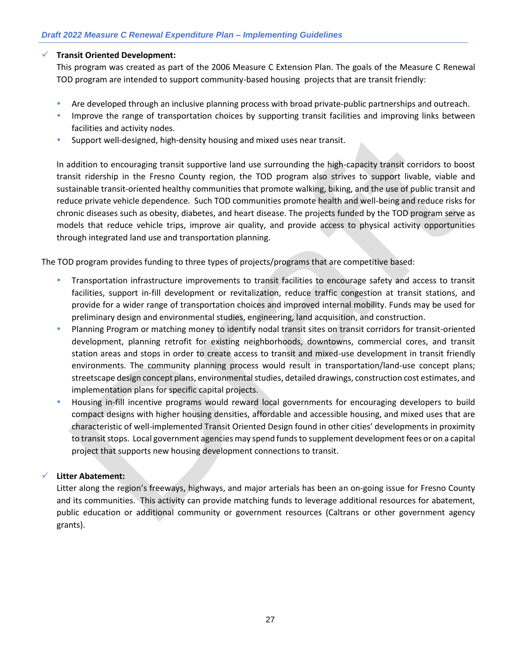#### ✓ **Transit Oriented Development:**

This program was created as part of the 2006 Measure C Extension Plan. The goals of the Measure C Renewal TOD program are intended to support community-based housing projects that are transit friendly:

- Are developed through an inclusive planning process with broad private-public partnerships and outreach.
- Improve the range of transportation choices by supporting transit facilities and improving links between facilities and activity nodes.
- Support well-designed, high-density housing and mixed uses near transit.

In addition to encouraging transit supportive land use surrounding the high-capacity transit corridors to boost transit ridership in the Fresno County region, the TOD program also strives to support livable, viable and sustainable transit-oriented healthy communities that promote walking, biking, and the use of public transit and reduce private vehicle dependence. Such TOD communities promote health and well-being and reduce risks for chronic diseases such as obesity, diabetes, and heart disease. The projects funded by the TOD program serve as models that reduce vehicle trips, improve air quality, and provide access to physical activity opportunities through integrated land use and transportation planning.

The TOD program provides funding to three types of projects/programs that are competitive based:

- Transportation infrastructure improvements to transit facilities to encourage safety and access to transit facilities, support in-fill development or revitalization, reduce traffic congestion at transit stations, and provide for a wider range of transportation choices and improved internal mobility. Funds may be used for preliminary design and environmental studies, engineering, land acquisition, and construction.
- Planning Program or matching money to identify nodal transit sites on transit corridors for transit-oriented development, planning retrofit for existing neighborhoods, downtowns, commercial cores, and transit station areas and stops in order to create access to transit and mixed-use development in transit friendly environments. The community planning process would result in transportation/land-use concept plans; streetscape design concept plans, environmental studies, detailed drawings, construction cost estimates, and implementation plans for specific capital projects.
- Housing in-fill incentive programs would reward local governments for encouraging developers to build compact designs with higher housing densities, affordable and accessible housing, and mixed uses that are characteristic of well-implemented Transit Oriented Design found in other cities' developments in proximity to transit stops. Local government agencies may spend funds to supplement development fees or on a capital project that supports new housing development connections to transit.

#### ✓ **Litter Abatement:**

Litter along the region's freeways, highways, and major arterials has been an on-going issue for Fresno County and its communities. This activity can provide matching funds to leverage additional resources for abatement, public education or additional community or government resources (Caltrans or other government agency grants).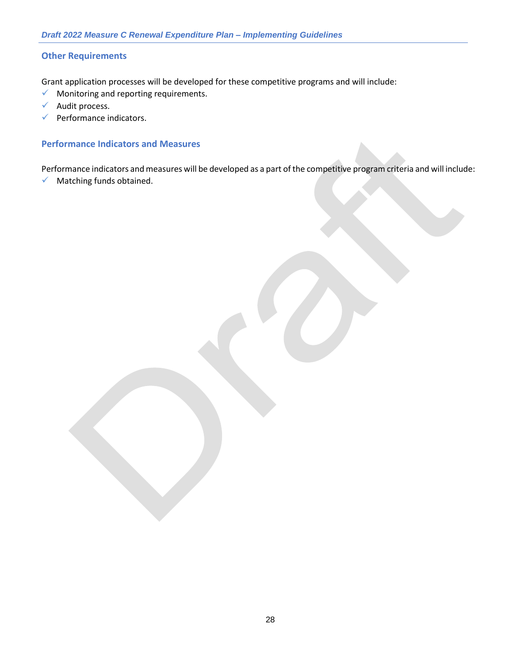#### **Other Requirements**

Grant application processes will be developed for these competitive programs and will include:

- $\checkmark$  Monitoring and reporting requirements.
- ✓ Audit process.
- $\checkmark$  Performance indicators.

#### **Performance Indicators and Measures**

Performance indicators and measures will be developed as a part of the competitive program criteria and will include:

✓ Matching funds obtained.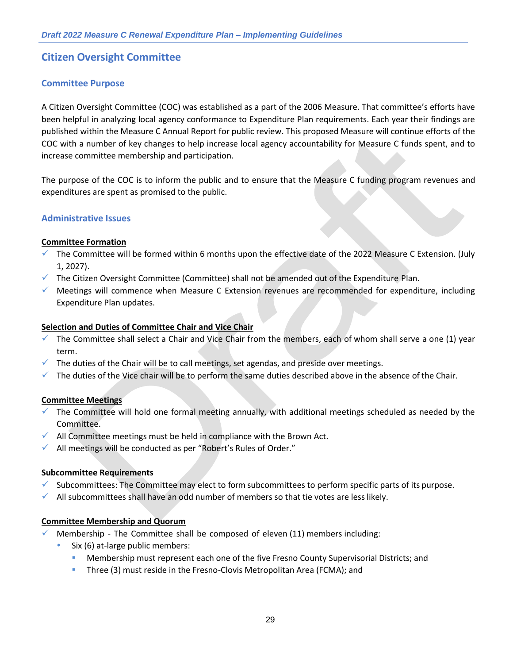## **Citizen Oversight Committee**

#### **Committee Purpose**

A Citizen Oversight Committee (COC) was established as a part of the 2006 Measure. That committee's efforts have been helpful in analyzing local agency conformance to Expenditure Plan requirements. Each year their findings are published within the Measure C Annual Report for public review. This proposed Measure will continue efforts of the COC with a number of key changes to help increase local agency accountability for Measure C funds spent, and to increase committee membership and participation.

The purpose of the COC is to inform the public and to ensure that the Measure C funding program revenues and expenditures are spent as promised to the public.

#### **Administrative Issues**

#### **Committee Formation**

- The Committee will be formed within 6 months upon the effective date of the 2022 Measure C Extension. (July 1, 2027).
- $\checkmark$  The Citizen Oversight Committee (Committee) shall not be amended out of the Expenditure Plan.
- ✓ Meetings will commence when Measure C Extension revenues are recommended for expenditure, including Expenditure Plan updates.

#### **Selection and Duties of Committee Chair and Vice Chair**

- $\checkmark$  The Committee shall select a Chair and Vice Chair from the members, each of whom shall serve a one (1) year term.
- $\checkmark$  The duties of the Chair will be to call meetings, set agendas, and preside over meetings.
- $\checkmark$  The duties of the Vice chair will be to perform the same duties described above in the absence of the Chair.

#### **Committee Meetings**

- $\checkmark$  The Committee will hold one formal meeting annually, with additional meetings scheduled as needed by the Committee.
- $\checkmark$  All Committee meetings must be held in compliance with the Brown Act.
- ✓ All meetings will be conducted as per "Robert's Rules of Order."

#### **Subcommittee Requirements**

- Subcommittees: The Committee may elect to form subcommittees to perform specific parts of its purpose.
- $\checkmark$  All subcommittees shall have an odd number of members so that tie votes are less likely.

#### **Committee Membership and Quorum**

- Membership The Committee shall be composed of eleven (11) members including:
	- Six (6) at-large public members:
		- Membership must represent each one of the five Fresno County Supervisorial Districts; and
		- Three (3) must reside in the Fresno-Clovis Metropolitan Area (FCMA); and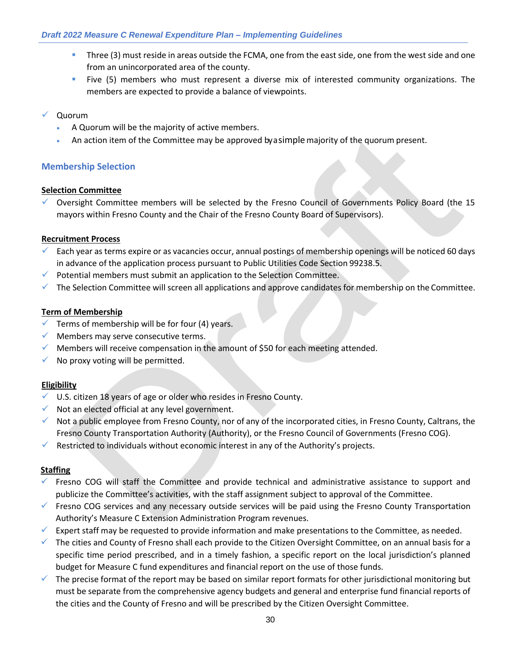- Three (3) must reside in areas outside the FCMA, one from the east side, one from the west side and one from an unincorporated area of the county.
- Five (5) members who must represent a diverse mix of interested community organizations. The members are expected to provide a balance of viewpoints.
- ✓ Quorum
	- A Quorum will be the majority of active members.
	- An action item of the Committee may be approved by a simple majority of the quorum present.

#### **Membership Selection**

#### **Selection Committee**

✓ Oversight Committee members will be selected by the Fresno Council of Governments Policy Board (the 15 mayors within Fresno County and the Chair of the Fresno County Board of Supervisors).

#### **Recruitment Process**

- $\checkmark$  Each year as terms expire or as vacancies occur, annual postings of membership openings will be noticed 60 days in advance of the application process pursuant to Public Utilities Code Section 99238.5.
- $\checkmark$  Potential members must submit an application to the Selection Committee.
- $\checkmark$  The Selection Committee will screen all applications and approve candidates for membership on the Committee.

#### **Term of Membership**

- $\checkmark$  Terms of membership will be for four (4) years.
- $\checkmark$  Members may serve consecutive terms.
- $\checkmark$  Members will receive compensation in the amount of \$50 for each meeting attended.
- $\checkmark$  No proxy voting will be permitted.

#### **Eligibility**

- ✓ U.S. citizen 18 years of age or older who resides in Fresno County.
- $\checkmark$  Not an elected official at any level government.
- $\checkmark$  Not a public employee from Fresno County, nor of any of the incorporated cities, in Fresno County, Caltrans, the Fresno County Transportation Authority (Authority), or the Fresno Council of Governments (Fresno COG).
- $\checkmark$  Restricted to individuals without economic interest in any of the Authority's projects.

#### **Staffing**

- $\checkmark$  Fresno COG will staff the Committee and provide technical and administrative assistance to support and publicize the Committee's activities, with the staff assignment subject to approval of the Committee.
- ✓ Fresno COG services and any necessary outside services will be paid using the Fresno County Transportation Authority's Measure C Extension Administration Program revenues.
- $\checkmark$  Expert staff may be requested to provide information and make presentations to the Committee, as needed.
- $\checkmark$  The cities and County of Fresno shall each provide to the Citizen Oversight Committee, on an annual basis for a specific time period prescribed, and in a timely fashion, a specific report on the local jurisdiction's planned budget for Measure C fund expenditures and financial report on the use of those funds.
- $\checkmark$  The precise format of the report may be based on similar report formats for other jurisdictional monitoring but must be separate from the comprehensive agency budgets and general and enterprise fund financial reports of the cities and the County of Fresno and will be prescribed by the Citizen Oversight Committee.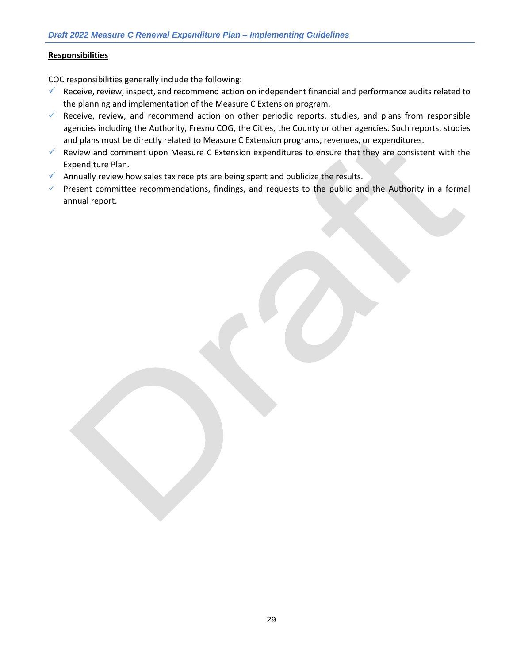#### **Responsibilities**

COC responsibilities generally include the following:

- ✓ Receive, review, inspect, and recommend action on independent financial and performance audits related to the planning and implementation of the Measure C Extension program.
- $\checkmark$  Receive, review, and recommend action on other periodic reports, studies, and plans from responsible agencies including the Authority, Fresno COG, the Cities, the County or other agencies. Such reports, studies and plans must be directly related to Measure C Extension programs, revenues, or expenditures.
- $\checkmark$  Review and comment upon Measure C Extension expenditures to ensure that they are consistent with the Expenditure Plan.
- $\checkmark$  Annually review how sales tax receipts are being spent and publicize the results.
- ✓ Present committee recommendations, findings, and requests to the public and the Authority in a formal annual report.